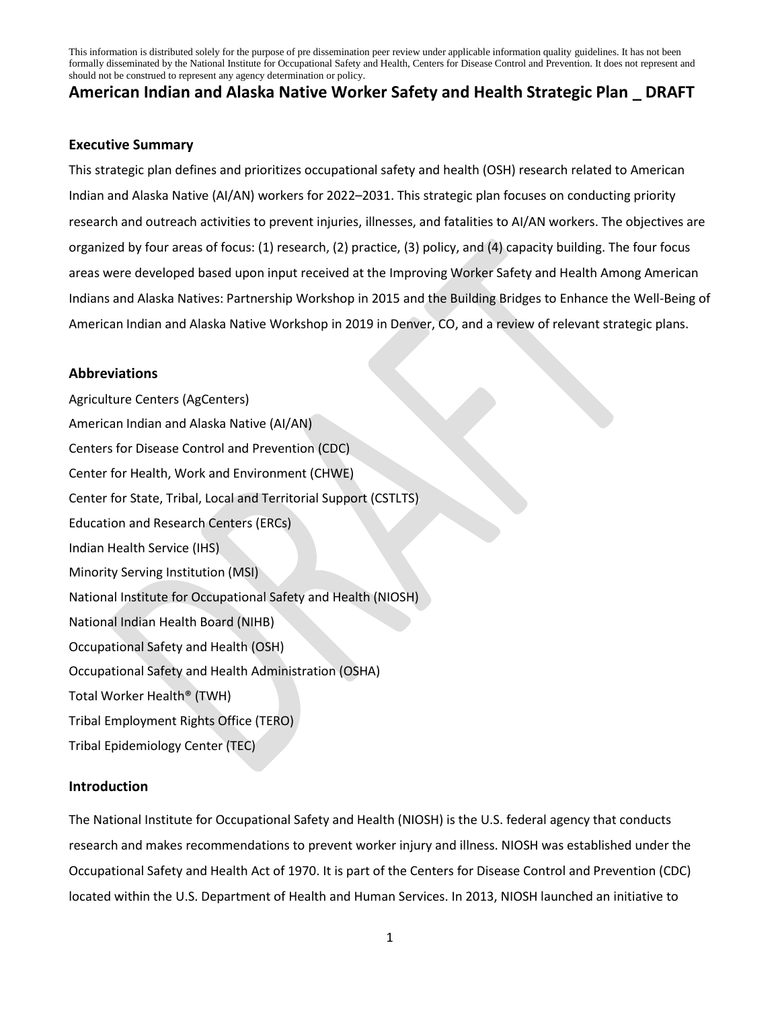# **American Indian and Alaska Native Worker Safety and Health Strategic Plan \_ DRAFT**

#### **Executive Summary**

This strategic plan defines and prioritizes occupational safety and health (OSH) research related to American Indian and Alaska Native (AI/AN) workers for 2022–2031. This strategic plan focuses on conducting priority research and outreach activities to prevent injuries, illnesses, and fatalities to AI/AN workers. The objectives are organized by four areas of focus: (1) research, (2) practice, (3) policy, and (4) capacity building. The four focus areas were developed based upon input received at the Improving Worker Safety and Health Among American Indians and Alaska Natives: Partnership Workshop in 2015 and the Building Bridges to Enhance the Well-Being of American Indian and Alaska Native Workshop in 2019 in Denver, CO, and a review of relevant strategic plans.

### **Abbreviations**

Agriculture Centers (AgCenters) American Indian and Alaska Native (AI/AN) Centers for Disease Control and Prevention (CDC) Center for Health, Work and Environment (CHWE) Center for State, Tribal, Local and Territorial Support (CSTLTS) Education and Research Centers (ERCs) Indian Health Service (IHS) Minority Serving Institution (MSI) National Institute for Occupational Safety and Health (NIOSH) National Indian Health Board (NIHB) Occupational Safety and Health (OSH) Occupational Safety and Health Administration (OSHA) Total Worker Health® (TWH) Tribal Employment Rights Office (TERO) Tribal Epidemiology Center (TEC)

### **Introduction**

The National Institute for Occupational Safety and Health (NIOSH) is the U.S. federal agency that conducts research and makes recommendations to prevent worker injury and illness. NIOSH was established under the Occupational Safety and Health Act of 1970. It is part of the Centers for Disease Control and Prevention (CDC) located within the U.S. Department of Health and Human Services. In 2013, NIOSH launched an initiative to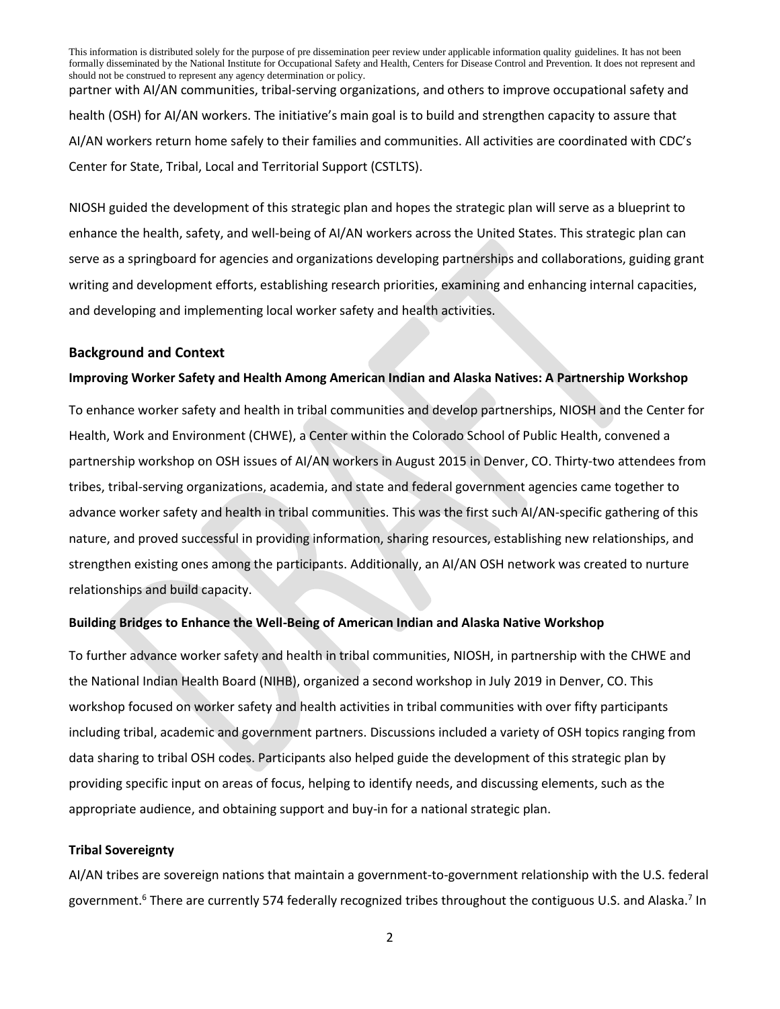partner with AI/AN communities, tribal-serving organizations, and others to improve occupational safety and health (OSH) for AI/AN workers. The initiative's main goal is to build and strengthen capacity to assure that AI/AN workers return home safely to their families and communities. All activities are coordinated with CDC's Center for State, Tribal, Local and Territorial Support (CSTLTS).

NIOSH guided the development of this strategic plan and hopes the strategic plan will serve as a blueprint to enhance the health, safety, and well-being of AI/AN workers across the United States. This strategic plan can serve as a springboard for agencies and organizations developing partnerships and collaborations, guiding grant writing and development efforts, establishing research priorities, examining and enhancing internal capacities, and developing and implementing local worker safety and health activities.

#### **Background and Context**

#### **Improving Worker Safety and Health Among American Indian and Alaska Natives: A Partnership Workshop**

To enhance worker safety and health in tribal communities and develop partnerships, NIOSH and the Center for Health, Work and Environment (CHWE), a Center within the Colorado School of Public Health, convened a partnership workshop on OSH issues of AI/AN workers in August 2015 in Denver, CO. Thirty-two attendees from tribes, tribal-serving organizations, academia, and state and federal government agencies came together to advance worker safety and health in tribal communities. This was the first such AI/AN-specific gathering of this nature, and proved successful in providing information, sharing resources, establishing new relationships, and strengthen existing ones among the participants. Additionally, an AI/AN OSH network was created to nurture relationships and build capacity.

#### **Building Bridges to Enhance the Well-Being of American Indian and Alaska Native Workshop**

To further advance worker safety and health in tribal communities, NIOSH, in partnership with the CHWE and the National Indian Health Board (NIHB), organized a second workshop in July 2019 in Denver, CO. This workshop focused on worker safety and health activities in tribal communities with over fifty participants including tribal, academic and government partners. Discussions included a variety of OSH topics ranging from data sharing to tribal OSH codes. Participants also helped guide the development of this strategic plan by providing specific input on areas of focus, helping to identify needs, and discussing elements, such as the appropriate audience, and obtaining support and buy-in for a national strategic plan.

#### **Tribal Sovereignty**

AI/AN tribes are sovereign nations that maintain a government-to-government relationship with the U.S. federal government.<sup>6</sup> There are currently 574 federally recognized tribes throughout the contiguous U.S. and Alaska.<sup>7</sup> In

2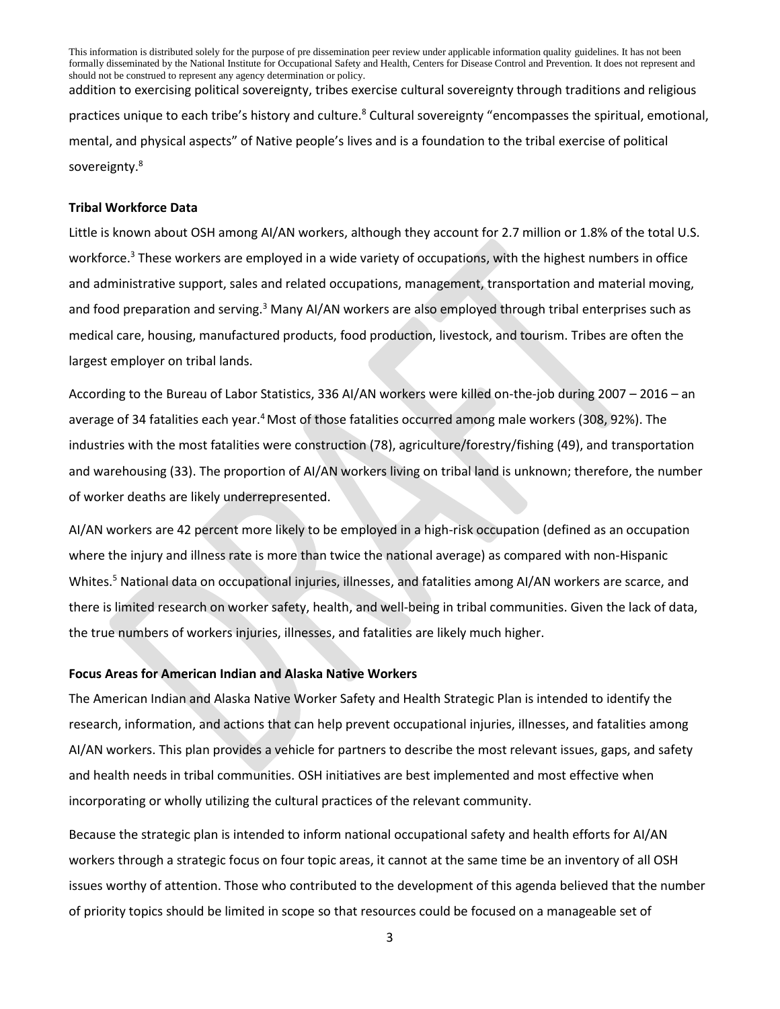This information is distributed solely for the purpose of pre dissemination peer review under applicable information quality guidelines. It has not been formally disseminated by the National Institute for Occupational Safety and Health, Centers for Disease Control and Prevention. It does not represent and should not be construed to represent any agency determination or policy. addition to exercising political sovereignty, tribes exercise cultural sovereignty through traditions and religious practices unique to each tribe's history and culture.<sup>8</sup> Cultural sovereignty "encompasses the spiritual, emotional,

mental, and physical aspects" of Native people's lives and is a foundation to the tribal exercise of political sovereignty.<sup>8</sup>

#### **Tribal Workforce Data**

Little is known about OSH among AI/AN workers, although they account for 2.7 million or 1.8% of the total U.S. workforce.<sup>3</sup> These workers are employed in a wide variety of occupations, with the highest numbers in office and administrative support, sales and related occupations, management, transportation and material moving, and food preparation and serving.<sup>3</sup> Many AI/AN workers are also employed through tribal enterprises such as medical care, housing, manufactured products, food production, livestock, and tourism. Tribes are often the largest employer on tribal lands.

According to the Bureau of Labor Statistics, 336 AI/AN workers were killed on-the-job during 2007 – 2016 – an average of 34 fatalities each year.<sup>4</sup>Most of those fatalities occurred among male workers (308, 92%). The industries with the most fatalities were construction (78), agriculture/forestry/fishing (49), and transportation and warehousing (33). The proportion of AI/AN workers living on tribal land is unknown; therefore, the number of worker deaths are likely underrepresented.

AI/AN workers are 42 percent more likely to be employed in a high-risk occupation (defined as an occupation where the injury and illness rate is more than twice the national average) as compared with non-Hispanic Whites.<sup>5</sup> National data on occupational injuries, illnesses, and fatalities among AI/AN workers are scarce, and there is limited research on worker safety, health, and well-being in tribal communities. Given the lack of data, the true numbers of workers injuries, illnesses, and fatalities are likely much higher.

#### **Focus Areas for American Indian and Alaska Native Workers**

The American Indian and Alaska Native Worker Safety and Health Strategic Plan is intended to identify the research, information, and actions that can help prevent occupational injuries, illnesses, and fatalities among AI/AN workers. This plan provides a vehicle for partners to describe the most relevant issues, gaps, and safety and health needs in tribal communities. OSH initiatives are best implemented and most effective when incorporating or wholly utilizing the cultural practices of the relevant community.

Because the strategic plan is intended to inform national occupational safety and health efforts for AI/AN workers through a strategic focus on four topic areas, it cannot at the same time be an inventory of all OSH issues worthy of attention. Those who contributed to the development of this agenda believed that the number of priority topics should be limited in scope so that resources could be focused on a manageable set of

3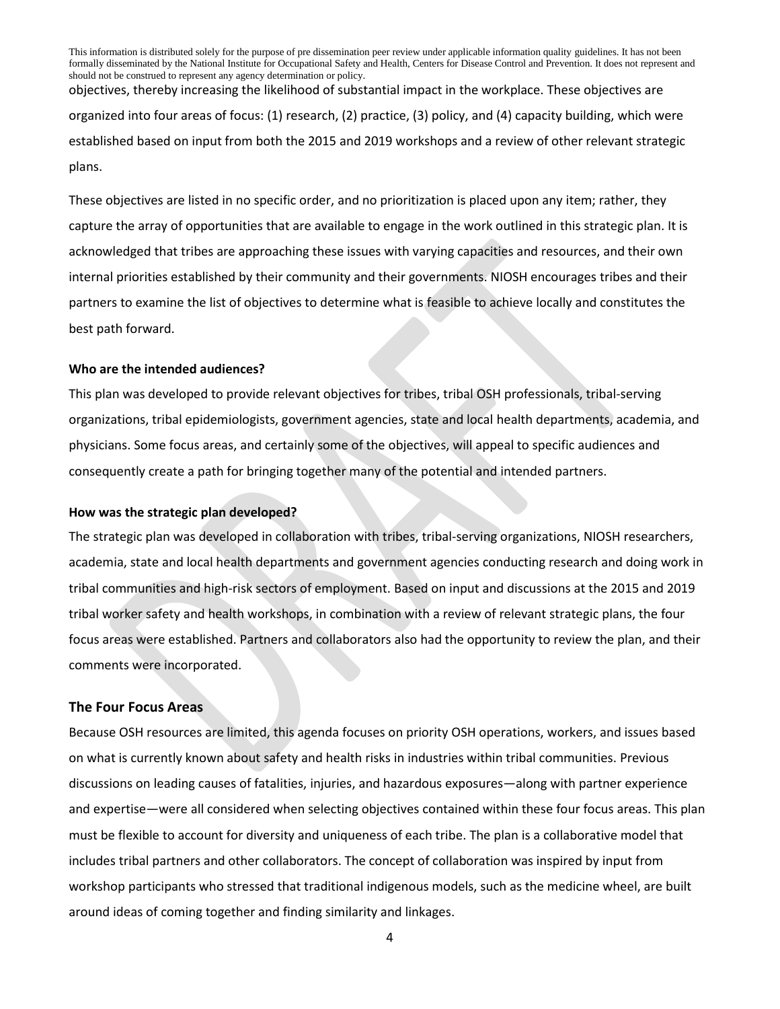This information is distributed solely for the purpose of pre dissemination peer review under applicable information quality guidelines. It has not been formally disseminated by the National Institute for Occupational Safety and Health, Centers for Disease Control and Prevention. It does not represent and should not be construed to represent any agency determination or policy. objectives, thereby increasing the likelihood of substantial impact in the workplace. These objectives are

organized into four areas of focus: (1) research, (2) practice, (3) policy, and (4) capacity building, which were established based on input from both the 2015 and 2019 workshops and a review of other relevant strategic plans.

These objectives are listed in no specific order, and no prioritization is placed upon any item; rather, they capture the array of opportunities that are available to engage in the work outlined in this strategic plan. It is acknowledged that tribes are approaching these issues with varying capacities and resources, and their own internal priorities established by their community and their governments. NIOSH encourages tribes and their partners to examine the list of objectives to determine what is feasible to achieve locally and constitutes the best path forward.

#### **Who are the intended audiences?**

This plan was developed to provide relevant objectives for tribes, tribal OSH professionals, tribal-serving organizations, tribal epidemiologists, government agencies, state and local health departments, academia, and physicians. Some focus areas, and certainly some of the objectives, will appeal to specific audiences and consequently create a path for bringing together many of the potential and intended partners.

#### **How was the strategic plan developed?**

The strategic plan was developed in collaboration with tribes, tribal-serving organizations, NIOSH researchers, academia, state and local health departments and government agencies conducting research and doing work in tribal communities and high-risk sectors of employment. Based on input and discussions at the 2015 and 2019 tribal worker safety and health workshops, in combination with a review of relevant strategic plans, the four focus areas were established. Partners and collaborators also had the opportunity to review the plan, and their comments were incorporated.

#### **The Four Focus Areas**

Because OSH resources are limited, this agenda focuses on priority OSH operations, workers, and issues based on what is currently known about safety and health risks in industries within tribal communities. Previous discussions on leading causes of fatalities, injuries, and hazardous exposures—along with partner experience and expertise—were all considered when selecting objectives contained within these four focus areas. This plan must be flexible to account for diversity and uniqueness of each tribe. The plan is a collaborative model that includes tribal partners and other collaborators. The concept of collaboration was inspired by input from workshop participants who stressed that traditional indigenous models, such as the medicine wheel, are built around ideas of coming together and finding similarity and linkages.

4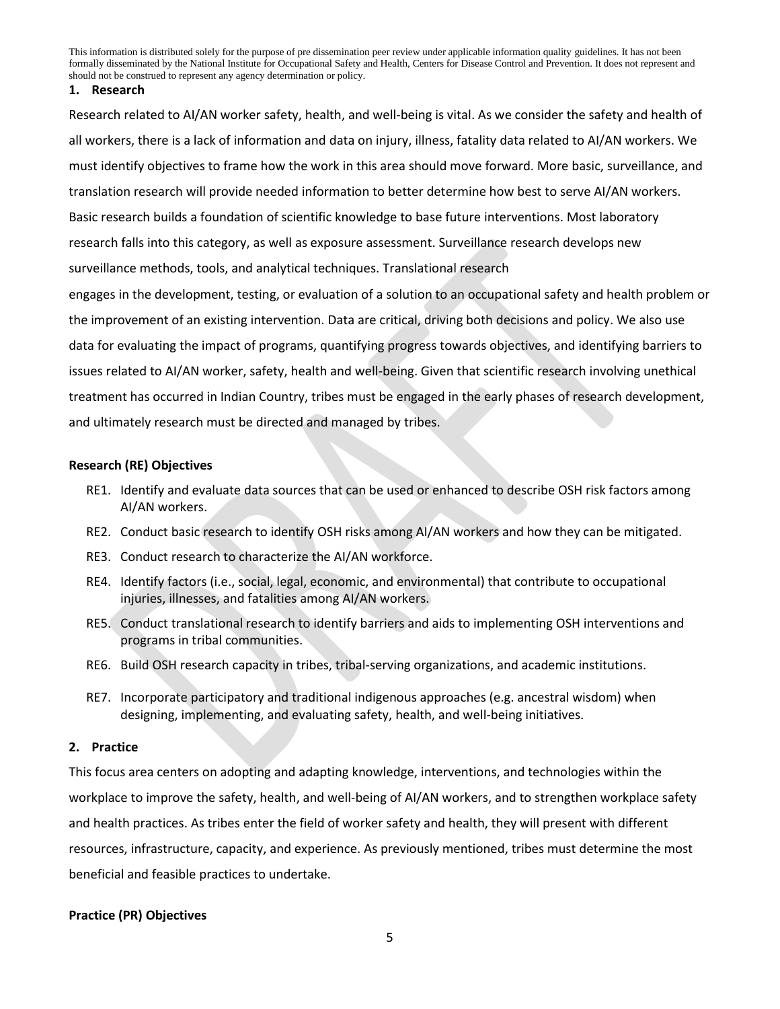#### **1. Research**

Research related to AI/AN worker safety, health, and well-being is vital. As we consider the safety and health of all workers, there is a lack of information and data on injury, illness, fatality data related to AI/AN workers. We must identify objectives to frame how the work in this area should move forward. More basic, surveillance, and translation research will provide needed information to better determine how best to serve AI/AN workers. Basic research builds a foundation of scientific knowledge to base future interventions. Most laboratory research falls into this category, as well as exposure assessment. Surveillance research develops new surveillance methods, tools, and analytical techniques. Translational research

engages in the development, testing, or evaluation of a solution to an occupational safety and health problem or the improvement of an existing intervention. Data are critical, driving both decisions and policy. We also use data for evaluating the impact of programs, quantifying progress towards objectives, and identifying barriers to issues related to AI/AN worker, safety, health and well-being. Given that scientific research involving unethical treatment has occurred in Indian Country, tribes must be engaged in the early phases of research development, and ultimately research must be directed and managed by tribes.

#### **Research (RE) Objectives**

- RE1. Identify and evaluate data sources that can be used or enhanced to describe OSH risk factors among AI/AN workers.
- RE2. Conduct basic research to identify OSH risks among AI/AN workers and how they can be mitigated.
- RE3. Conduct research to characterize the AI/AN workforce.
- RE4. Identify factors (i.e., social, legal, economic, and environmental) that contribute to occupational injuries, illnesses, and fatalities among AI/AN workers.
- RE5. Conduct translational research to identify barriers and aids to implementing OSH interventions and programs in tribal communities.
- RE6. Build OSH research capacity in tribes, tribal-serving organizations, and academic institutions.
- RE7. Incorporate participatory and traditional indigenous approaches (e.g. ancestral wisdom) when designing, implementing, and evaluating safety, health, and well-being initiatives.

#### **2. Practice**

This focus area centers on adopting and adapting knowledge, interventions, and technologies within the workplace to improve the safety, health, and well-being of AI/AN workers, and to strengthen workplace safety and health practices. As tribes enter the field of worker safety and health, they will present with different resources, infrastructure, capacity, and experience. As previously mentioned, tribes must determine the most beneficial and feasible practices to undertake.

### **Practice (PR) Objectives**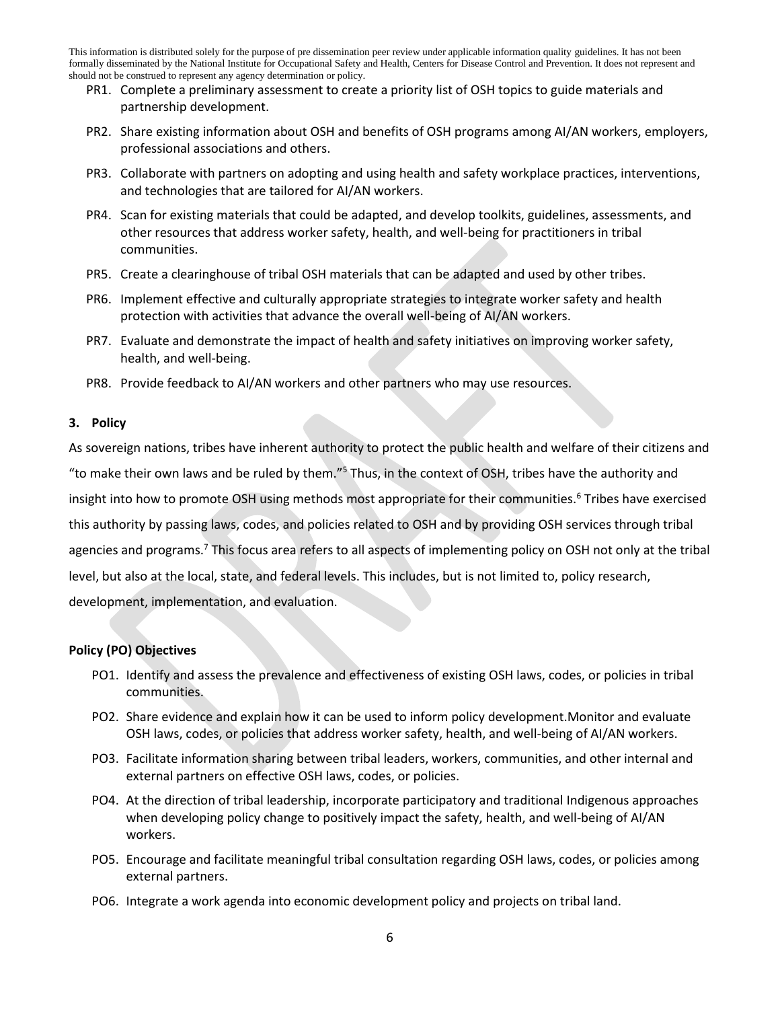- PR1. Complete a preliminary assessment to create a priority list of OSH topics to guide materials and partnership development.
- PR2. Share existing information about OSH and benefits of OSH programs among AI/AN workers, employers, professional associations and others.
- PR3. Collaborate with partners on adopting and using health and safety workplace practices, interventions, and technologies that are tailored for AI/AN workers.
- PR4. Scan for existing materials that could be adapted, and develop toolkits, guidelines, assessments, and other resources that address worker safety, health, and well-being for practitioners in tribal communities.
- PR5. Create a clearinghouse of tribal OSH materials that can be adapted and used by other tribes.
- PR6. Implement effective and culturally appropriate strategies to integrate worker safety and health protection with activities that advance the overall well-being of AI/AN workers.
- PR7. Evaluate and demonstrate the impact of health and safety initiatives on improving worker safety, health, and well-being.
- PR8. Provide feedback to AI/AN workers and other partners who may use resources.

#### **3. Policy**

As sovereign nations, tribes have inherent authority to protect the public health and welfare of their citizens and "to make their own laws and be ruled by them."<sup>5</sup> Thus, in the context of OSH, tribes have the authority and insight into how to promote OSH using methods most appropriate for their communities.<sup>6</sup> Tribes have exercised this authority by passing laws, codes, and policies related to OSH and by providing OSH services through tribal agencies and programs.<sup>7</sup> This focus area refers to all aspects of implementing policy on OSH not only at the tribal level, but also at the local, state, and federal levels. This includes, but is not limited to, policy research, development, implementation, and evaluation.

### **Policy (PO) Objectives**

- PO1. Identify and assess the prevalence and effectiveness of existing OSH laws, codes, or policies in tribal communities.
- PO2. Share evidence and explain how it can be used to inform policy development.Monitor and evaluate OSH laws, codes, or policies that address worker safety, health, and well-being of AI/AN workers.
- PO3. Facilitate information sharing between tribal leaders, workers, communities, and other internal and external partners on effective OSH laws, codes, or policies.
- PO4. At the direction of tribal leadership, incorporate participatory and traditional Indigenous approaches when developing policy change to positively impact the safety, health, and well-being of AI/AN workers.
- PO5. Encourage and facilitate meaningful tribal consultation regarding OSH laws, codes, or policies among external partners.
- PO6. Integrate a work agenda into economic development policy and projects on tribal land.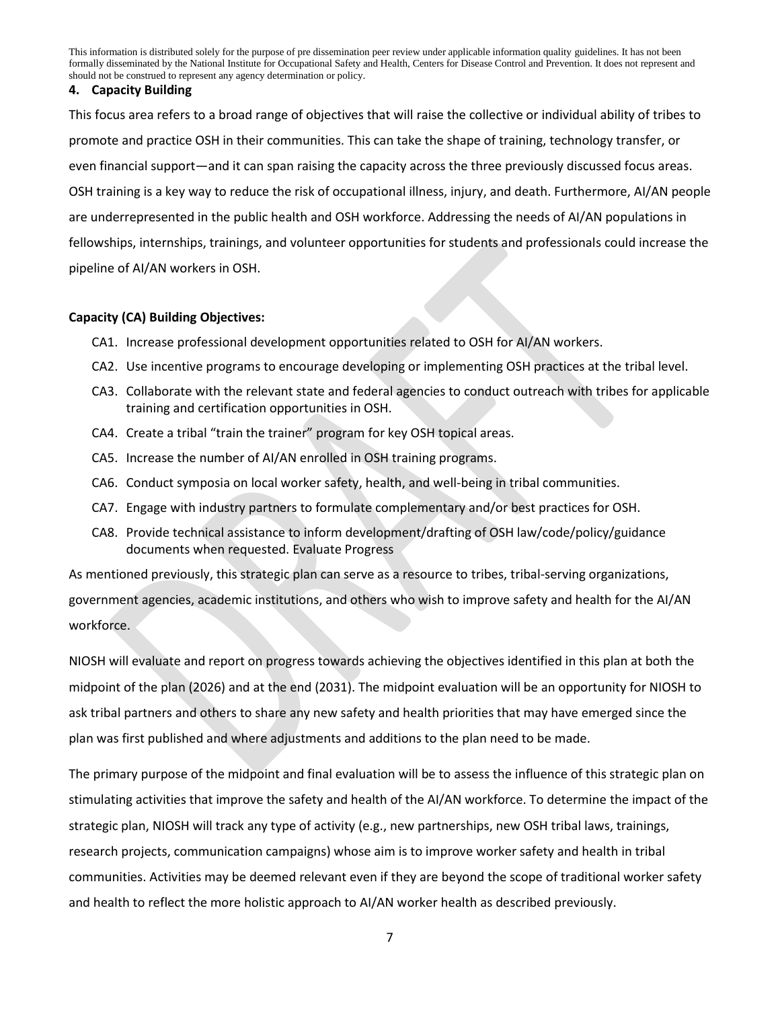#### **4. Capacity Building**

This focus area refers to a broad range of objectives that will raise the collective or individual ability of tribes to promote and practice OSH in their communities. This can take the shape of training, technology transfer, or even financial support—and it can span raising the capacity across the three previously discussed focus areas. OSH training is a key way to reduce the risk of occupational illness, injury, and death. Furthermore, AI/AN people are underrepresented in the public health and OSH workforce. Addressing the needs of AI/AN populations in fellowships, internships, trainings, and volunteer opportunities for students and professionals could increase the pipeline of AI/AN workers in OSH.

### **Capacity (CA) Building Objectives:**

- CA1. Increase professional development opportunities related to OSH for AI/AN workers.
- CA2. Use incentive programs to encourage developing or implementing OSH practices at the tribal level.
- CA3. Collaborate with the relevant state and federal agencies to conduct outreach with tribes for applicable training and certification opportunities in OSH.
- CA4. Create a tribal "train the trainer" program for key OSH topical areas.
- CA5. Increase the number of AI/AN enrolled in OSH training programs.
- CA6. Conduct symposia on local worker safety, health, and well-being in tribal communities.
- CA7. Engage with industry partners to formulate complementary and/or best practices for OSH.
- CA8. Provide technical assistance to inform development/drafting of OSH law/code/policy/guidance documents when requested. Evaluate Progress

As mentioned previously, this strategic plan can serve as a resource to tribes, tribal-serving organizations, government agencies, academic institutions, and others who wish to improve safety and health for the AI/AN workforce.

NIOSH will evaluate and report on progress towards achieving the objectives identified in this plan at both the midpoint of the plan (2026) and at the end (2031). The midpoint evaluation will be an opportunity for NIOSH to ask tribal partners and others to share any new safety and health priorities that may have emerged since the plan was first published and where adjustments and additions to the plan need to be made.

The primary purpose of the midpoint and final evaluation will be to assess the influence of this strategic plan on stimulating activities that improve the safety and health of the AI/AN workforce. To determine the impact of the strategic plan, NIOSH will track any type of activity (e.g., new partnerships, new OSH tribal laws, trainings, research projects, communication campaigns) whose aim is to improve worker safety and health in tribal communities. Activities may be deemed relevant even if they are beyond the scope of traditional worker safety and health to reflect the more holistic approach to AI/AN worker health as described previously.